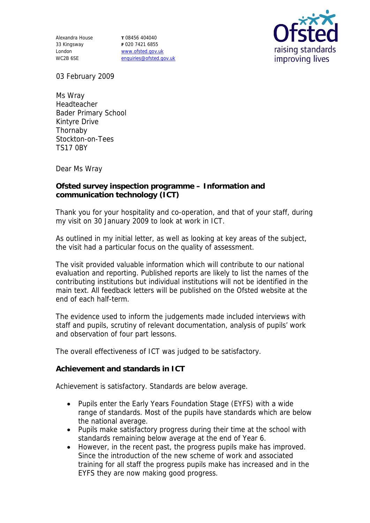Alexandra House 33 Kingsway London WC2B 6SE

**T** 08456 404040 **F** 020 7421 6855 www.ofsted.gov.uk enquiries@ofsted.gov.uk



03 February 2009

Ms Wray Headteacher Bader Primary School Kintyre Drive Thornaby Stockton-on-Tees TS17 0BY

Dear Ms Wray

**Ofsted survey inspection programme – Information and communication technology (ICT)**

Thank you for your hospitality and co-operation, and that of your staff, during my visit on 30 January 2009 to look at work in ICT.

As outlined in my initial letter, as well as looking at key areas of the subject, the visit had a particular focus on the quality of assessment.

The visit provided valuable information which will contribute to our national evaluation and reporting. Published reports are likely to list the names of the contributing institutions but individual institutions will not be identified in the main text. All feedback letters will be published on the Ofsted website at the end of each half-term.

The evidence used to inform the judgements made included interviews with staff and pupils, scrutiny of relevant documentation, analysis of pupils' work and observation of four part lessons.

The overall effectiveness of ICT was judged to be satisfactory.

**Achievement and standards in ICT**

Achievement is satisfactory. Standards are below average.

- Pupils enter the Early Years Foundation Stage (EYFS) with a wide range of standards. Most of the pupils have standards which are below the national average.
- Pupils make satisfactory progress during their time at the school with standards remaining below average at the end of Year 6.
- However, in the recent past, the progress pupils make has improved. Since the introduction of the new scheme of work and associated training for all staff the progress pupils make has increased and in the EYFS they are now making good progress.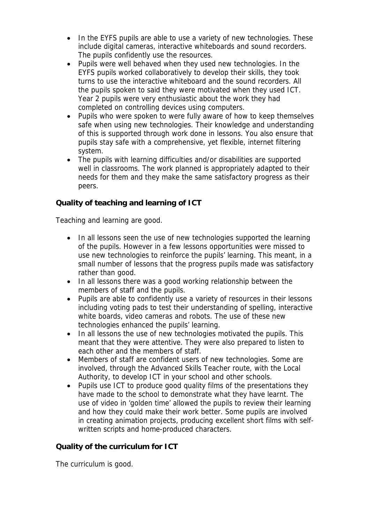- In the EYFS pupils are able to use a variety of new technologies. These include digital cameras, interactive whiteboards and sound recorders. The pupils confidently use the resources.
- Pupils were well behaved when they used new technologies. In the EYFS pupils worked collaboratively to develop their skills, they took turns to use the interactive whiteboard and the sound recorders. All the pupils spoken to said they were motivated when they used ICT. Year 2 pupils were very enthusiastic about the work they had completed on controlling devices using computers.
- Pupils who were spoken to were fully aware of how to keep themselves safe when using new technologies. Their knowledge and understanding of this is supported through work done in lessons. You also ensure that pupils stay safe with a comprehensive, yet flexible, internet filtering system.
- The pupils with learning difficulties and/or disabilities are supported well in classrooms. The work planned is appropriately adapted to their needs for them and they make the same satisfactory progress as their peers.

**Quality of teaching and learning of ICT**

Teaching and learning are good.

- In all lessons seen the use of new technologies supported the learning of the pupils. However in a few lessons opportunities were missed to use new technologies to reinforce the pupils' learning. This meant, in a small number of lessons that the progress pupils made was satisfactory rather than good.
- In all lessons there was a good working relationship between the members of staff and the pupils.
- Pupils are able to confidently use a variety of resources in their lessons including voting pads to test their understanding of spelling, interactive white boards, video cameras and robots. The use of these new technologies enhanced the pupils' learning.
- In all lessons the use of new technologies motivated the pupils. This meant that they were attentive. They were also prepared to listen to each other and the members of staff.
- Members of staff are confident users of new technologies. Some are involved, through the Advanced Skills Teacher route, with the Local Authority, to develop ICT in your school and other schools.
- Pupils use ICT to produce good quality films of the presentations they have made to the school to demonstrate what they have learnt. The use of video in 'golden time' allowed the pupils to review their learning and how they could make their work better. Some pupils are involved in creating animation projects, producing excellent short films with selfwritten scripts and home-produced characters.

**Quality of the curriculum for ICT**

The curriculum is good.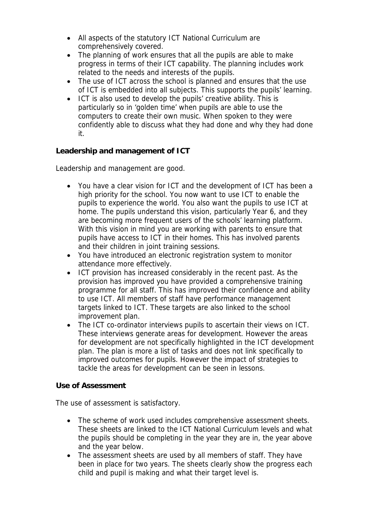- All aspects of the statutory ICT National Curriculum are comprehensively covered.
- The planning of work ensures that all the pupils are able to make progress in terms of their ICT capability. The planning includes work related to the needs and interests of the pupils.
- The use of ICT across the school is planned and ensures that the use of ICT is embedded into all subjects. This supports the pupils' learning.
- ICT is also used to develop the pupils' creative ability. This is particularly so in 'golden time' when pupils are able to use the computers to create their own music. When spoken to they were confidently able to discuss what they had done and why they had done it.

**Leadership and management of ICT**

Leadership and management are good.

- You have a clear vision for ICT and the development of ICT has been a high priority for the school. You now want to use ICT to enable the pupils to experience the world. You also want the pupils to use ICT at home. The pupils understand this vision, particularly Year 6, and they are becoming more frequent users of the schools' learning platform. With this vision in mind you are working with parents to ensure that pupils have access to ICT in their homes. This has involved parents and their children in joint training sessions.
- You have introduced an electronic registration system to monitor attendance more effectively.
- ICT provision has increased considerably in the recent past. As the provision has improved you have provided a comprehensive training programme for all staff. This has improved their confidence and ability to use ICT. All members of staff have performance management targets linked to ICT. These targets are also linked to the school improvement plan.
- The ICT co-ordinator interviews pupils to ascertain their views on ICT. These interviews generate areas for development. However the areas for development are not specifically highlighted in the ICT development plan. The plan is more a list of tasks and does not link specifically to improved outcomes for pupils. However the impact of strategies to tackle the areas for development can be seen in lessons.

**Use of Assessment** 

The use of assessment is satisfactory.

- The scheme of work used includes comprehensive assessment sheets. These sheets are linked to the ICT National Curriculum levels and what the pupils should be completing in the year they are in, the year above and the year below.
- The assessment sheets are used by all members of staff. They have been in place for two years. The sheets clearly show the progress each child and pupil is making and what their target level is.